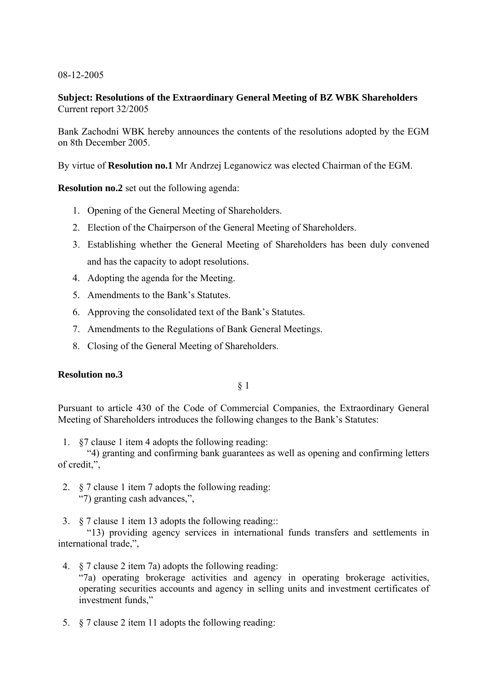## 08-12-2005

# **Subject: Resolutions of the Extraordinary General Meeting of BZ WBK Shareholders**  Current report 32/2005

Bank Zachodni WBK hereby announces the contents of the resolutions adopted by the EGM on 8th December 2005.

By virtue of **Resolution no.1** Mr Andrzej Leganowicz was elected Chairman of the EGM.

**Resolution no.2** set out the following agenda:

- 1. Opening of the General Meeting of Shareholders.
- 2. Election of the Chairperson of the General Meeting of Shareholders.
- 3. Establishing whether the General Meeting of Shareholders has been duly convened and has the capacity to adopt resolutions.
- 4. Adopting the agenda for the Meeting.
- 5. Amendments to the Bank's Statutes.
- 6. Approving the consolidated text of the Bank's Statutes.
- 7. Amendments to the Regulations of Bank General Meetings.
- 8. Closing of the General Meeting of Shareholders.

# **Resolution no.3**

§ 1

Pursuant to article 430 of the Code of Commercial Companies, the Extraordinary General Meeting of Shareholders introduces the following changes to the Bank's Statutes:

1. §7 clause 1 item 4 adopts the following reading:

"4) granting and confirming bank guarantees as well as opening and confirming letters of credit,",

- 2. § 7 clause 1 item 7 adopts the following reading: "7) granting cash advances,",
- 3. § 7 clause 1 item 13 adopts the following reading::

"13) providing agency services in international funds transfers and settlements in international trade,",

- 4. § 7 clause 2 item 7a) adopts the following reading: "7a) operating brokerage activities and agency in operating brokerage activities, operating securities accounts and agency in selling units and investment certificates of investment funds,"
- 5. § 7 clause 2 item 11 adopts the following reading: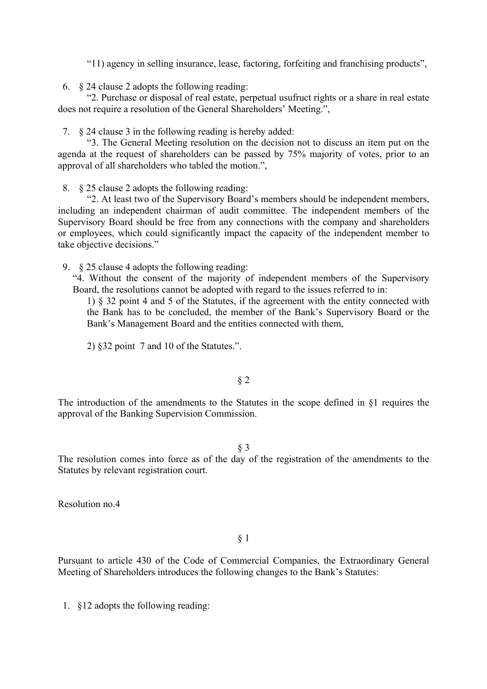"11) agency in selling insurance, lease, factoring, forfeiting and franchising products",

6. § 24 clause 2 adopts the following reading:

"2. Purchase or disposal of real estate, perpetual usufruct rights or a share in real estate does not require a resolution of the General Shareholders' Meeting.",

7. § 24 clause 3 in the following reading is hereby added:

"3. The General Meeting resolution on the decision not to discuss an item put on the agenda at the request of shareholders can be passed by 75% majority of votes, prior to an approval of all shareholders who tabled the motion.",

8. § 25 clause 2 adopts the following reading:

"2. At least two of the Supervisory Board's members should be independent members, including an independent chairman of audit committee. The independent members of the Supervisory Board should be free from any connections with the company and shareholders or employees, which could significantly impact the capacity of the independent member to take objective decisions."

9. § 25 clause 4 adopts the following reading:

"4. Without the consent of the majority of independent members of the Supervisory Board, the resolutions cannot be adopted with regard to the issues referred to in:

1) § 32 point 4 and 5 of the Statutes, if the agreement with the entity connected with the Bank has to be concluded, the member of the Bank's Supervisory Board or the Bank's Management Board and the entities connected with them,

2) §32 point 7 and 10 of the Statutes.".

§ 2

The introduction of the amendments to the Statutes in the scope defined in §1 requires the approval of the Banking Supervision Commission.

§ 3

The resolution comes into force as of the day of the registration of the amendments to the Statutes by relevant registration court.

Resolution no.4

§ 1

Pursuant to article 430 of the Code of Commercial Companies, the Extraordinary General Meeting of Shareholders introduces the following changes to the Bank's Statutes:

1. §12 adopts the following reading: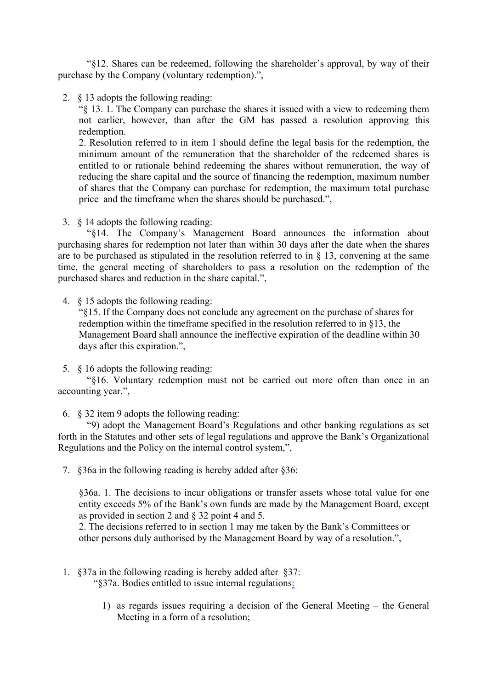"§12. Shares can be redeemed, following the shareholder's approval, by way of their purchase by the Company (voluntary redemption).",

2. § 13 adopts the following reading:

"§ 13. 1. The Company can purchase the shares it issued with a view to redeeming them not earlier, however, than after the GM has passed a resolution approving this redemption.

2. Resolution referred to in item 1 should define the legal basis for the redemption, the minimum amount of the remuneration that the shareholder of the redeemed shares is entitled to or rationale behind redeeming the shares without remuneration, the way of reducing the share capital and the source of financing the redemption, maximum number of shares that the Company can purchase for redemption, the maximum total purchase price and the timeframe when the shares should be purchased.",

3. § 14 adopts the following reading:

"§14. The Company's Management Board announces the information about purchasing shares for redemption not later than within 30 days after the date when the shares are to be purchased as stipulated in the resolution referred to in  $\S$  13, convening at the same time, the general meeting of shareholders to pass a resolution on the redemption of the purchased shares and reduction in the share capital.",

4. § 15 adopts the following reading:

"§15. If the Company does not conclude any agreement on the purchase of shares for redemption within the timeframe specified in the resolution referred to in §13, the Management Board shall announce the ineffective expiration of the deadline within 30 days after this expiration.",

5. § 16 adopts the following reading:

"§16. Voluntary redemption must not be carried out more often than once in an accounting year.",

6. § 32 item 9 adopts the following reading:

"9) adopt the Management Board's Regulations and other banking regulations as set forth in the Statutes and other sets of legal regulations and approve the Bank's Organizational Regulations and the Policy on the internal control system,",

7. §36a in the following reading is hereby added after §36:

§36a. 1. The decisions to incur obligations or transfer assets whose total value for one entity exceeds 5% of the Bank's own funds are made by the Management Board, except as provided in section 2 and § 32 point 4 and 5.

2. The decisions referred to in section 1 may me taken by the Bank's Committees or other persons duly authorised by the Management Board by way of a resolution.",

- 1. §37a in the following reading is hereby added after §37: "§37a. Bodies entitled to issue internal regulations:
	- 1) as regards issues requiring a decision of the General Meeting the General Meeting in a form of a resolution;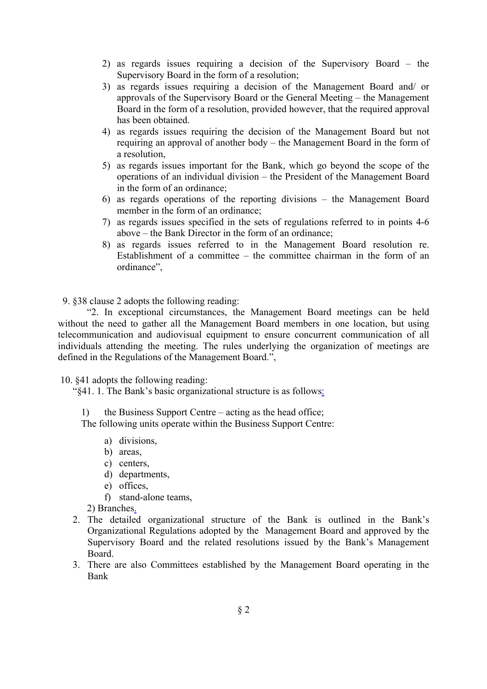- 2) as regards issues requiring a decision of the Supervisory Board the Supervisory Board in the form of a resolution;
- 3) as regards issues requiring a decision of the Management Board and/ or approvals of the Supervisory Board or the General Meeting – the Management Board in the form of a resolution, provided however, that the required approval has been obtained.
- 4) as regards issues requiring the decision of the Management Board but not requiring an approval of another body – the Management Board in the form of a resolution,
- 5) as regards issues important for the Bank, which go beyond the scope of the operations of an individual division – the President of the Management Board in the form of an ordinance;
- 6) as regards operations of the reporting divisions the Management Board member in the form of an ordinance;
- 7) as regards issues specified in the sets of regulations referred to in points 4-6 above – the Bank Director in the form of an ordinance;
- 8) as regards issues referred to in the Management Board resolution re. Establishment of a committee – the committee chairman in the form of an ordinance",

9. §38 clause 2 adopts the following reading:

"2. In exceptional circumstances, the Management Board meetings can be held without the need to gather all the Management Board members in one location, but using telecommunication and audiovisual equipment to ensure concurrent communication of all individuals attending the meeting. The rules underlying the organization of meetings are defined in the Regulations of the Management Board.",

10. §41 adopts the following reading:

"§41. 1. The Bank's basic organizational structure is as follows:

1) the Business Support Centre – acting as the head office;

The following units operate within the Business Support Centre:

- a) divisions,
- b) areas,
- c) centers,
- d) departments,
- e) offices,
- f) stand-alone teams,

2) Branches.

- 2. The detailed organizational structure of the Bank is outlined in the Bank's Organizational Regulations adopted by the Management Board and approved by the Supervisory Board and the related resolutions issued by the Bank's Management Board.
- 3. There are also Committees established by the Management Board operating in the Bank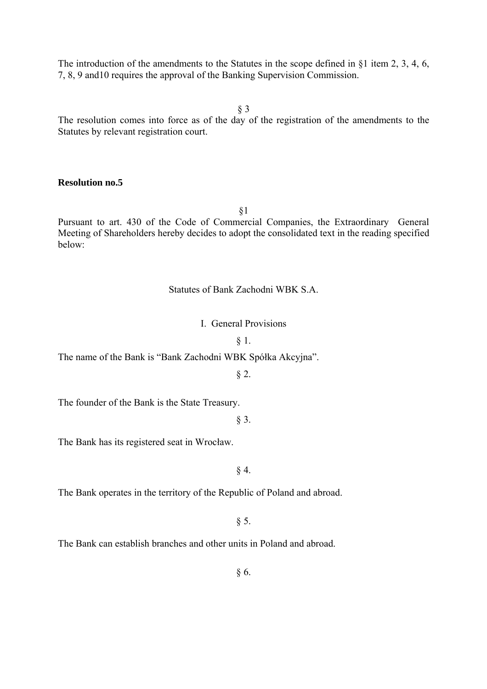The introduction of the amendments to the Statutes in the scope defined in §1 item 2, 3, 4, 6, 7, 8, 9 and10 requires the approval of the Banking Supervision Commission.

§ 3

The resolution comes into force as of the day of the registration of the amendments to the Statutes by relevant registration court.

#### **Resolution no.5**

§1

Pursuant to art. 430 of the Code of Commercial Companies, the Extraordinary General Meeting of Shareholders hereby decides to adopt the consolidated text in the reading specified below:

#### Statutes of Bank Zachodni WBK S.A.

## I. General Provisions

§ 1.

The name of the Bank is "Bank Zachodni WBK Spółka Akcyjna".

# § 2.

The founder of the Bank is the State Treasury.

§ 3.

The Bank has its registered seat in Wrocław.

 $§$ 4.

The Bank operates in the territory of the Republic of Poland and abroad.

§ 5.

The Bank can establish branches and other units in Poland and abroad.

§ 6.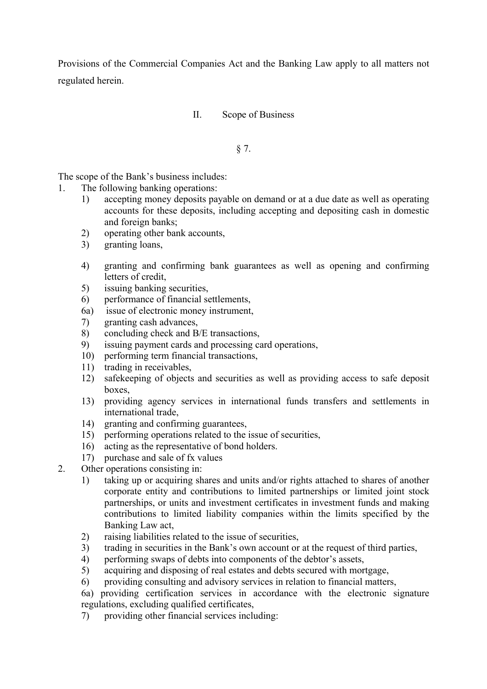Provisions of the Commercial Companies Act and the Banking Law apply to all matters not regulated herein.

## II. Scope of Business

§ 7.

The scope of the Bank's business includes:

1. The following banking operations:

- 1) accepting money deposits payable on demand or at a due date as well as operating accounts for these deposits, including accepting and depositing cash in domestic and foreign banks;
- 2) operating other bank accounts,
- 3) granting loans,
- 4) granting and confirming bank guarantees as well as opening and confirming letters of credit,
- 5) issuing banking securities,
- 6) performance of financial settlements,
- 6a) issue of electronic money instrument,
- 7) granting cash advances,
- 8) concluding check and B/E transactions,
- 9) issuing payment cards and processing card operations,
- 10) performing term financial transactions,
- 11) trading in receivables,
- 12) safekeeping of objects and securities as well as providing access to safe deposit boxes,
- 13) providing agency services in international funds transfers and settlements in international trade,
- 14) granting and confirming guarantees,
- 15) performing operations related to the issue of securities,
- 16) acting as the representative of bond holders.
- 17) purchase and sale of fx values
- 2. Other operations consisting in:
	- 1) taking up or acquiring shares and units and/or rights attached to shares of another corporate entity and contributions to limited partnerships or limited joint stock partnerships, or units and investment certificates in investment funds and making contributions to limited liability companies within the limits specified by the Banking Law act,
	- 2) raising liabilities related to the issue of securities,
	- 3) trading in securities in the Bank's own account or at the request of third parties,
	- 4) performing swaps of debts into components of the debtor's assets,
	- 5) acquiring and disposing of real estates and debts secured with mortgage,
	- 6) providing consulting and advisory services in relation to financial matters,

6a) providing certification services in accordance with the electronic signature regulations, excluding qualified certificates,

7) providing other financial services including: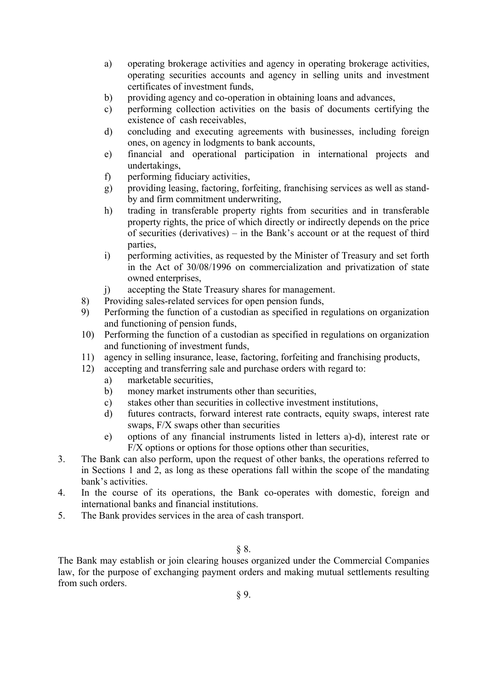- a) operating brokerage activities and agency in operating brokerage activities, operating securities accounts and agency in selling units and investment certificates of investment funds,
- b) providing agency and co-operation in obtaining loans and advances,
- c) performing collection activities on the basis of documents certifying the existence of cash receivables,
- d) concluding and executing agreements with businesses, including foreign ones, on agency in lodgments to bank accounts,
- e) financial and operational participation in international projects and undertakings,
- f) performing fiduciary activities,
- g) providing leasing, factoring, forfeiting, franchising services as well as standby and firm commitment underwriting,
- h) trading in transferable property rights from securities and in transferable property rights, the price of which directly or indirectly depends on the price of securities (derivatives) – in the Bank's account or at the request of third parties,
- i) performing activities, as requested by the Minister of Treasury and set forth in the Act of 30/08/1996 on commercialization and privatization of state owned enterprises,
- j) accepting the State Treasury shares for management.
- 8) Providing sales-related services for open pension funds,
- 9) Performing the function of a custodian as specified in regulations on organization and functioning of pension funds,
- 10) Performing the function of a custodian as specified in regulations on organization and functioning of investment funds,
- 11) agency in selling insurance, lease, factoring, forfeiting and franchising products,
- 12) accepting and transferring sale and purchase orders with regard to:
	- a) marketable securities,
	- b) money market instruments other than securities,
	- c) stakes other than securities in collective investment institutions,
	- d) futures contracts, forward interest rate contracts, equity swaps, interest rate swaps, F/X swaps other than securities
	- e) options of any financial instruments listed in letters a)-d), interest rate or F/X options or options for those options other than securities,
- 3. The Bank can also perform, upon the request of other banks, the operations referred to in Sections 1 and 2, as long as these operations fall within the scope of the mandating bank's activities.
- 4. In the course of its operations, the Bank co-operates with domestic, foreign and international banks and financial institutions.
- 5. The Bank provides services in the area of cash transport.

§ 8.

The Bank may establish or join clearing houses organized under the Commercial Companies law, for the purpose of exchanging payment orders and making mutual settlements resulting from such orders.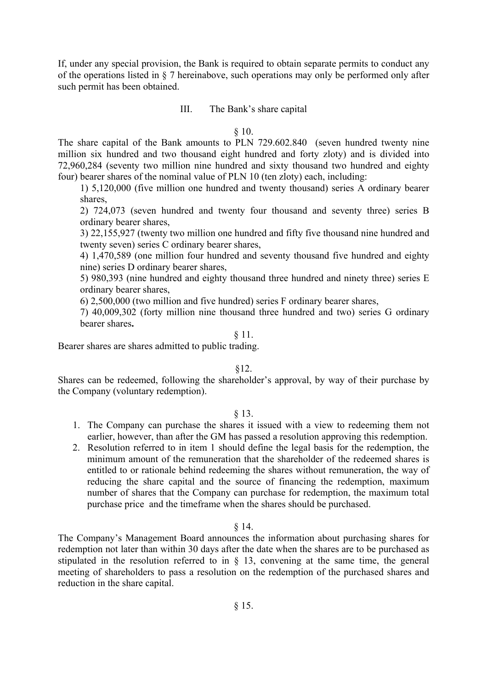If, under any special provision, the Bank is required to obtain separate permits to conduct any of the operations listed in § 7 hereinabove, such operations may only be performed only after such permit has been obtained.

#### III. The Bank's share capital

#### § 10.

The share capital of the Bank amounts to PLN 729.602.840 (seven hundred twenty nine million six hundred and two thousand eight hundred and forty zloty) and is divided into 72,960,284 (seventy two million nine hundred and sixty thousand two hundred and eighty four) bearer shares of the nominal value of PLN 10 (ten zloty) each, including:

1) 5,120,000 (five million one hundred and twenty thousand) series A ordinary bearer shares,

2) 724,073 (seven hundred and twenty four thousand and seventy three) series B ordinary bearer shares,

3) 22,155,927 (twenty two million one hundred and fifty five thousand nine hundred and twenty seven) series C ordinary bearer shares,

4) 1,470,589 (one million four hundred and seventy thousand five hundred and eighty nine) series D ordinary bearer shares,

5) 980,393 (nine hundred and eighty thousand three hundred and ninety three) series E ordinary bearer shares,

6) 2,500,000 (two million and five hundred) series F ordinary bearer shares,

7) 40,009,302 (forty million nine thousand three hundred and two) series G ordinary bearer shares**.** 

### § 11.

Bearer shares are shares admitted to public trading.

#### §12.

Shares can be redeemed, following the shareholder's approval, by way of their purchase by the Company (voluntary redemption).

#### § 13.

- 1. The Company can purchase the shares it issued with a view to redeeming them not earlier, however, than after the GM has passed a resolution approving this redemption.
- 2. Resolution referred to in item 1 should define the legal basis for the redemption, the minimum amount of the remuneration that the shareholder of the redeemed shares is entitled to or rationale behind redeeming the shares without remuneration, the way of reducing the share capital and the source of financing the redemption, maximum number of shares that the Company can purchase for redemption, the maximum total purchase price and the timeframe when the shares should be purchased.

#### § 14.

The Company's Management Board announces the information about purchasing shares for redemption not later than within 30 days after the date when the shares are to be purchased as stipulated in the resolution referred to in § 13, convening at the same time, the general meeting of shareholders to pass a resolution on the redemption of the purchased shares and reduction in the share capital.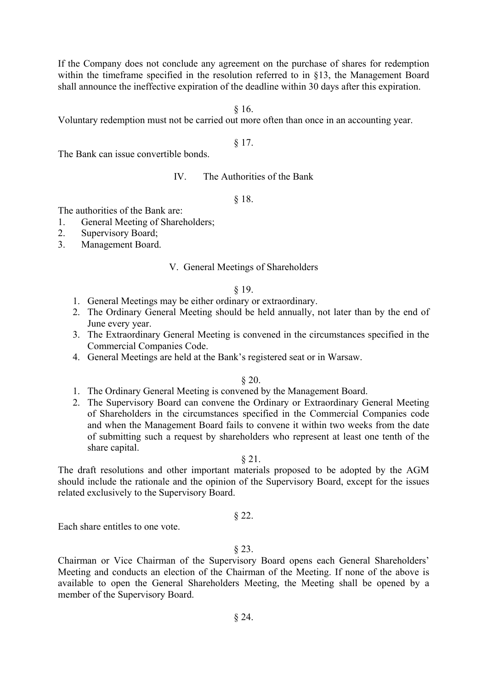If the Company does not conclude any agreement on the purchase of shares for redemption within the timeframe specified in the resolution referred to in §13, the Management Board shall announce the ineffective expiration of the deadline within 30 days after this expiration.

§ 16.

Voluntary redemption must not be carried out more often than once in an accounting year.

§ 17.

The Bank can issue convertible bonds.

## IV. The Authorities of the Bank

§ 18.

The authorities of the Bank are:

- 1. General Meeting of Shareholders;
- 2. Supervisory Board;
- 3. Management Board.

## V. General Meetings of Shareholders

## § 19.

- 1. General Meetings may be either ordinary or extraordinary.
- 2. The Ordinary General Meeting should be held annually, not later than by the end of June every year.
- 3. The Extraordinary General Meeting is convened in the circumstances specified in the Commercial Companies Code.
- 4. General Meetings are held at the Bank's registered seat or in Warsaw.

# § 20.

- 1. The Ordinary General Meeting is convened by the Management Board.
- 2. The Supervisory Board can convene the Ordinary or Extraordinary General Meeting of Shareholders in the circumstances specified in the Commercial Companies code and when the Management Board fails to convene it within two weeks from the date of submitting such a request by shareholders who represent at least one tenth of the share capital.

## § 21.

The draft resolutions and other important materials proposed to be adopted by the AGM should include the rationale and the opinion of the Supervisory Board, except for the issues related exclusively to the Supervisory Board.

# § 22.

Each share entitles to one vote.

# § 23.

Chairman or Vice Chairman of the Supervisory Board opens each General Shareholders' Meeting and conducts an election of the Chairman of the Meeting. If none of the above is available to open the General Shareholders Meeting, the Meeting shall be opened by a member of the Supervisory Board.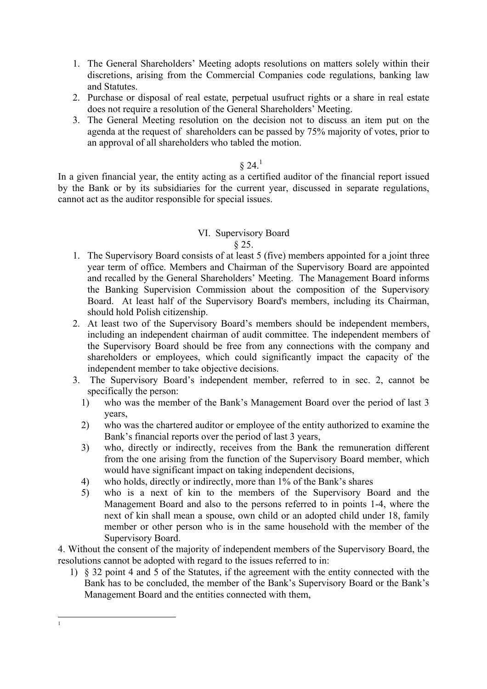- 1. The General Shareholders' Meeting adopts resolutions on matters solely within their discretions, arising from the Commercial Companies code regulations, banking law and Statutes.
- 2. Purchase or disposal of real estate, perpetual usufruct rights or a share in real estate does not require a resolution of the General Shareholders' Meeting.
- 3. The General Meeting resolution on the decision not to discuss an item put on the agenda at the request of shareholders can be passed by 75% majority of votes, prior to an approval of all shareholders who tabled the motion.

## $§ 24<sup>1</sup>$  $§ 24<sup>1</sup>$  $§ 24<sup>1</sup>$

In a given financial year, the entity acting as a certified auditor of the financial report issued by the Bank or by its subsidiaries for the current year, discussed in separate regulations, cannot act as the auditor responsible for special issues.

## VI. Supervisory Board

## § 25.

- 1. The Supervisory Board consists of at least 5 (five) members appointed for a joint three year term of office. Members and Chairman of the Supervisory Board are appointed and recalled by the General Shareholders' Meeting. The Management Board informs the Banking Supervision Commission about the composition of the Supervisory Board. At least half of the Supervisory Board's members, including its Chairman, should hold Polish citizenship.
- 2. At least two of the Supervisory Board's members should be independent members, including an independent chairman of audit committee. The independent members of the Supervisory Board should be free from any connections with the company and shareholders or employees, which could significantly impact the capacity of the independent member to take objective decisions.
- 3. The Supervisory Board's independent member, referred to in sec. 2, cannot be specifically the person:
	- 1) who was the member of the Bank's Management Board over the period of last 3 years,
	- 2) who was the chartered auditor or employee of the entity authorized to examine the Bank's financial reports over the period of last 3 years,
	- 3) who, directly or indirectly, receives from the Bank the remuneration different from the one arising from the function of the Supervisory Board member, which would have significant impact on taking independent decisions,
	- 4) who holds, directly or indirectly, more than 1% of the Bank's shares
	- 5) who is a next of kin to the members of the Supervisory Board and the Management Board and also to the persons referred to in points 1-4, where the next of kin shall mean a spouse, own child or an adopted child under 18, family member or other person who is in the same household with the member of the Supervisory Board.

4. Without the consent of the majority of independent members of the Supervisory Board, the resolutions cannot be adopted with regard to the issues referred to in:

1) § 32 point 4 and 5 of the Statutes, if the agreement with the entity connected with the Bank has to be concluded, the member of the Bank's Supervisory Board or the Bank's Management Board and the entities connected with them,

<span id="page-9-0"></span> $\frac{1}{1}$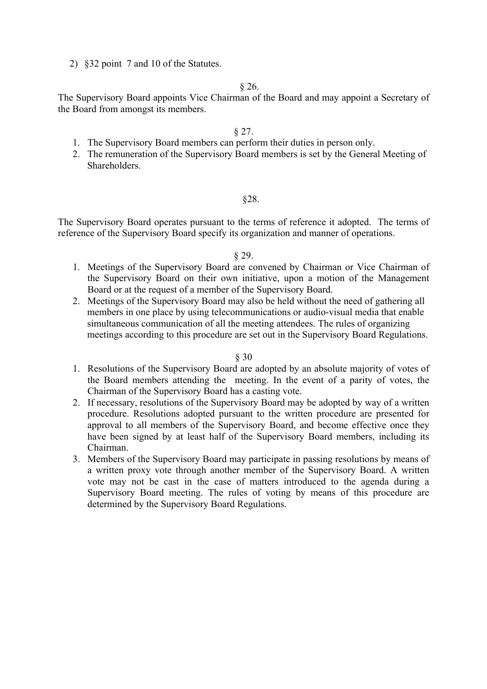2) §32 point 7 and 10 of the Statutes.

### § 26.

The Supervisory Board appoints Vice Chairman of the Board and may appoint a Secretary of the Board from amongst its members.

#### § 27.

- 1. The Supervisory Board members can perform their duties in person only.
- 2. The remuneration of the Supervisory Board members is set by the General Meeting of Shareholders.

### §28.

The Supervisory Board operates pursuant to the terms of reference it adopted. The terms of reference of the Supervisory Board specify its organization and manner of operations.

#### § 29.

- 1. Meetings of the Supervisory Board are convened by Chairman or Vice Chairman of the Supervisory Board on their own initiative, upon a motion of the Management Board or at the request of a member of the Supervisory Board.
- 2. Meetings of the Supervisory Board may also be held without the need of gathering all members in one place by using telecommunications or audio-visual media that enable simultaneous communication of all the meeting attendees. The rules of organizing meetings according to this procedure are set out in the Supervisory Board Regulations.

#### § 30

- 1. Resolutions of the Supervisory Board are adopted by an absolute majority of votes of the Board members attending the meeting. In the event of a parity of votes, the Chairman of the Supervisory Board has a casting vote.
- 2. If necessary, resolutions of the Supervisory Board may be adopted by way of a written procedure. Resolutions adopted pursuant to the written procedure are presented for approval to all members of the Supervisory Board, and become effective once they have been signed by at least half of the Supervisory Board members, including its Chairman.
- 3. Members of the Supervisory Board may participate in passing resolutions by means of a written proxy vote through another member of the Supervisory Board. A written vote may not be cast in the case of matters introduced to the agenda during a Supervisory Board meeting. The rules of voting by means of this procedure are determined by the Supervisory Board Regulations.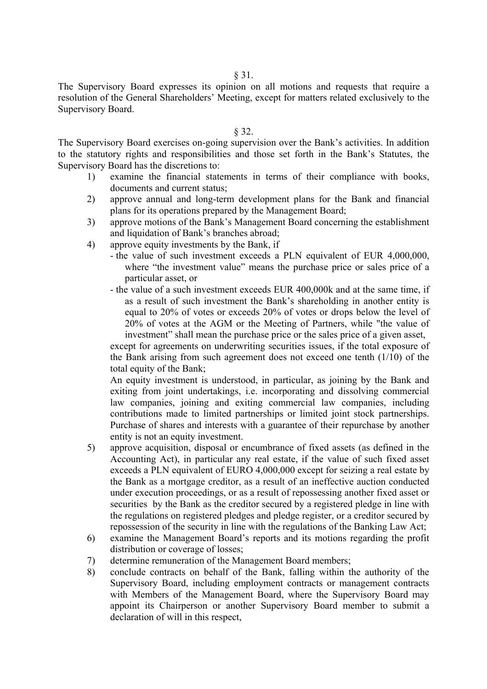The Supervisory Board expresses its opinion on all motions and requests that require a resolution of the General Shareholders' Meeting, except for matters related exclusively to the Supervisory Board.

§ 32.

The Supervisory Board exercises on-going supervision over the Bank's activities. In addition to the statutory rights and responsibilities and those set forth in the Bank's Statutes, the Supervisory Board has the discretions to:

- 1) examine the financial statements in terms of their compliance with books, documents and current status;
- 2) approve annual and long-term development plans for the Bank and financial plans for its operations prepared by the Management Board;
- 3) approve motions of the Bank's Management Board concerning the establishment and liquidation of Bank's branches abroad;
- 4) approve equity investments by the Bank, if
	- the value of such investment exceeds a PLN equivalent of EUR 4,000,000, where "the investment value" means the purchase price or sales price of a particular asset, or
	- the value of a such investment exceeds EUR 400,000k and at the same time, if as a result of such investment the Bank's shareholding in another entity is equal to 20% of votes or exceeds 20% of votes or drops below the level of 20% of votes at the AGM or the Meeting of Partners, while "the value of investment" shall mean the purchase price or the sales price of a given asset,

except for agreements on underwriting securities issues, if the total exposure of the Bank arising from such agreement does not exceed one tenth (1/10) of the total equity of the Bank;

An equity investment is understood, in particular, as joining by the Bank and exiting from joint undertakings, i.e. incorporating and dissolving commercial law companies, joining and exiting commercial law companies, including contributions made to limited partnerships or limited joint stock partnerships. Purchase of shares and interests with a guarantee of their repurchase by another entity is not an equity investment.

- 5) approve acquisition, disposal or encumbrance of fixed assets (as defined in the Accounting Act), in particular any real estate, if the value of such fixed asset exceeds a PLN equivalent of EURO 4,000,000 except for seizing a real estate by the Bank as a mortgage creditor, as a result of an ineffective auction conducted under execution proceedings, or as a result of repossessing another fixed asset or securities by the Bank as the creditor secured by a registered pledge in line with the regulations on registered pledges and pledge register, or a creditor secured by repossession of the security in line with the regulations of the Banking Law Act;
- 6) examine the Management Board's reports and its motions regarding the profit distribution or coverage of losses;
- 7) determine remuneration of the Management Board members;
- 8) conclude contracts on behalf of the Bank, falling within the authority of the Supervisory Board, including employment contracts or management contracts with Members of the Management Board, where the Supervisory Board may appoint its Chairperson or another Supervisory Board member to submit a declaration of will in this respect,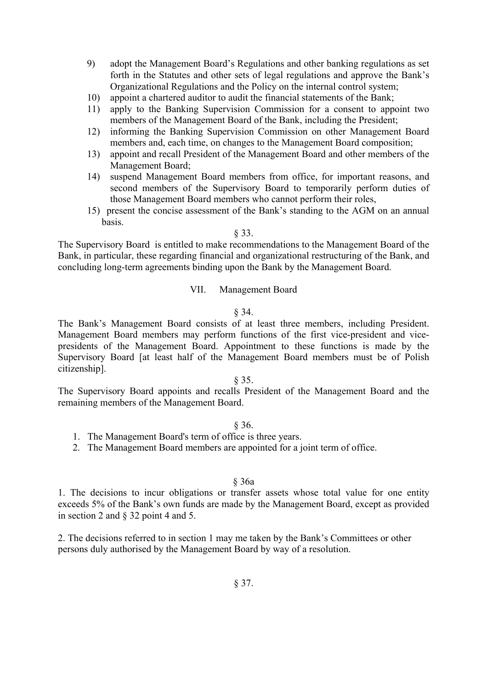- 9) adopt the Management Board's Regulations and other banking regulations as set forth in the Statutes and other sets of legal regulations and approve the Bank's Organizational Regulations and the Policy on the internal control system;
- 10) appoint a chartered auditor to audit the financial statements of the Bank;
- 11) apply to the Banking Supervision Commission for a consent to appoint two members of the Management Board of the Bank, including the President;
- 12) informing the Banking Supervision Commission on other Management Board members and, each time, on changes to the Management Board composition;
- 13) appoint and recall President of the Management Board and other members of the Management Board;
- 14) suspend Management Board members from office, for important reasons, and second members of the Supervisory Board to temporarily perform duties of those Management Board members who cannot perform their roles,
- 15) present the concise assessment of the Bank's standing to the AGM on an annual basis.

### § 33.

The Supervisory Board is entitled to make recommendations to the Management Board of the Bank, in particular, these regarding financial and organizational restructuring of the Bank, and concluding long-term agreements binding upon the Bank by the Management Board.

#### VII. Management Board

#### § 34.

The Bank's Management Board consists of at least three members, including President. Management Board members may perform functions of the first vice-president and vicepresidents of the Management Board. Appointment to these functions is made by the Supervisory Board [at least half of the Management Board members must be of Polish citizenship].

## § 35.

The Supervisory Board appoints and recalls President of the Management Board and the remaining members of the Management Board.

### § 36.

- 1. The Management Board's term of office is three years.
- 2. The Management Board members are appointed for a joint term of office.

### § 36a

1. The decisions to incur obligations or transfer assets whose total value for one entity exceeds 5% of the Bank's own funds are made by the Management Board, except as provided in section 2 and § 32 point 4 and 5.

2. The decisions referred to in section 1 may me taken by the Bank's Committees or other persons duly authorised by the Management Board by way of a resolution.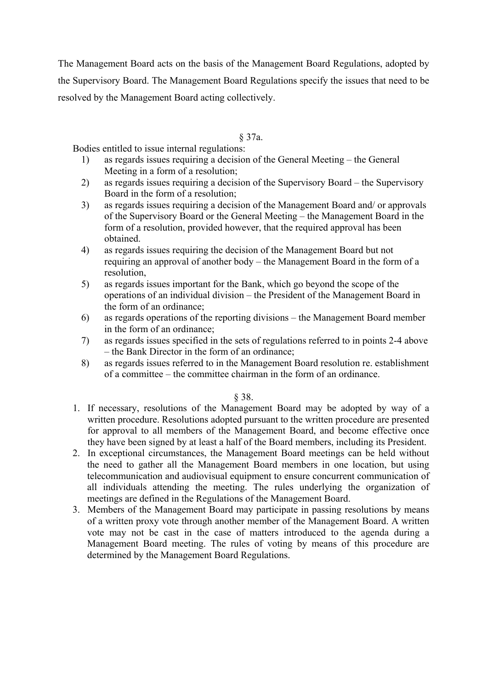The Management Board acts on the basis of the Management Board Regulations, adopted by the Supervisory Board. The Management Board Regulations specify the issues that need to be resolved by the Management Board acting collectively.

§ 37a.

Bodies entitled to issue internal regulations:

- 1) as regards issues requiring a decision of the General Meeting the General Meeting in a form of a resolution;
- 2) as regards issues requiring a decision of the Supervisory Board the Supervisory Board in the form of a resolution;
- 3) as regards issues requiring a decision of the Management Board and/ or approvals of the Supervisory Board or the General Meeting – the Management Board in the form of a resolution, provided however, that the required approval has been obtained.
- 4) as regards issues requiring the decision of the Management Board but not requiring an approval of another body – the Management Board in the form of a resolution,
- 5) as regards issues important for the Bank, which go beyond the scope of the operations of an individual division – the President of the Management Board in the form of an ordinance;
- 6) as regards operations of the reporting divisions the Management Board member in the form of an ordinance;
- 7) as regards issues specified in the sets of regulations referred to in points 2-4 above – the Bank Director in the form of an ordinance;
- 8) as regards issues referred to in the Management Board resolution re. establishment of a committee – the committee chairman in the form of an ordinance.

## § 38.

- 1. If necessary, resolutions of the Management Board may be adopted by way of a written procedure. Resolutions adopted pursuant to the written procedure are presented for approval to all members of the Management Board, and become effective once they have been signed by at least a half of the Board members, including its President.
- 2. In exceptional circumstances, the Management Board meetings can be held without the need to gather all the Management Board members in one location, but using telecommunication and audiovisual equipment to ensure concurrent communication of all individuals attending the meeting. The rules underlying the organization of meetings are defined in the Regulations of the Management Board.
- 3. Members of the Management Board may participate in passing resolutions by means of a written proxy vote through another member of the Management Board. A written vote may not be cast in the case of matters introduced to the agenda during a Management Board meeting. The rules of voting by means of this procedure are determined by the Management Board Regulations.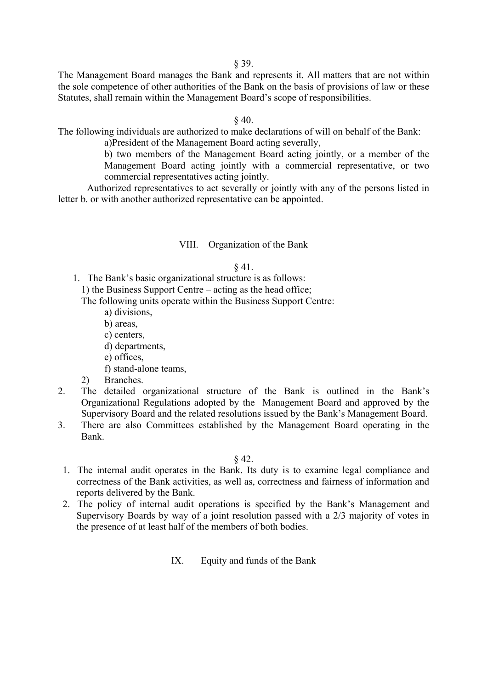§ 39.

The Management Board manages the Bank and represents it. All matters that are not within the sole competence of other authorities of the Bank on the basis of provisions of law or these Statutes, shall remain within the Management Board's scope of responsibilities.

§ 40.

The following individuals are authorized to make declarations of will on behalf of the Bank:

a)President of the Management Board acting severally,

b) two members of the Management Board acting jointly, or a member of the Management Board acting jointly with a commercial representative, or two commercial representatives acting jointly.

Authorized representatives to act severally or jointly with any of the persons listed in letter b. or with another authorized representative can be appointed.

## VIII. Organization of the Bank

## § 41.

1. The Bank's basic organizational structure is as follows:

1) the Business Support Centre – acting as the head office;

The following units operate within the Business Support Centre:

- a) divisions,
- b) areas,
- c) centers,
- d) departments,
- e) offices,
- f) stand-alone teams,
- 2) Branches.
- 2. The detailed organizational structure of the Bank is outlined in the Bank's Organizational Regulations adopted by the Management Board and approved by the Supervisory Board and the related resolutions issued by the Bank's Management Board.
- 3. There are also Committees established by the Management Board operating in the Bank.

## § 42.

- 1. The internal audit operates in the Bank. Its duty is to examine legal compliance and correctness of the Bank activities, as well as, correctness and fairness of information and reports delivered by the Bank.
- 2. The policy of internal audit operations is specified by the Bank's Management and Supervisory Boards by way of a joint resolution passed with a 2/3 majority of votes in the presence of at least half of the members of both bodies.
	- IX. Equity and funds of the Bank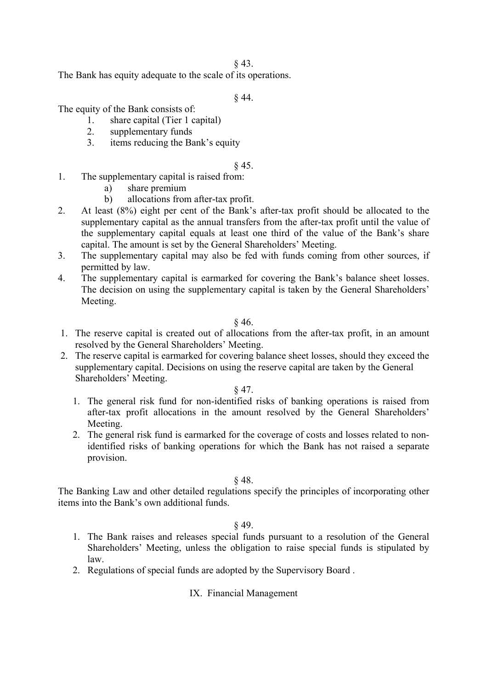§ 43.

The Bank has equity adequate to the scale of its operations.

§ 44.

The equity of the Bank consists of:

- 1. share capital (Tier 1 capital)
- 2. supplementary funds
- 3. items reducing the Bank's equity

### § 45.

- 1. The supplementary capital is raised from:
	- a) share premium
	- b) allocations from after-tax profit.
- 2. At least (8%) eight per cent of the Bank's after-tax profit should be allocated to the supplementary capital as the annual transfers from the after-tax profit until the value of the supplementary capital equals at least one third of the value of the Bank's share capital. The amount is set by the General Shareholders' Meeting.
- 3. The supplementary capital may also be fed with funds coming from other sources, if permitted by law.
- 4. The supplementary capital is earmarked for covering the Bank's balance sheet losses. The decision on using the supplementary capital is taken by the General Shareholders' Meeting.

## § 46.

- 1. The reserve capital is created out of allocations from the after-tax profit, in an amount resolved by the General Shareholders' Meeting.
- 2. The reserve capital is earmarked for covering balance sheet losses, should they exceed the supplementary capital. Decisions on using the reserve capital are taken by the General Shareholders' Meeting.

### § 47.

- 1. The general risk fund for non-identified risks of banking operations is raised from after-tax profit allocations in the amount resolved by the General Shareholders' Meeting.
- 2. The general risk fund is earmarked for the coverage of costs and losses related to nonidentified risks of banking operations for which the Bank has not raised a separate provision.

#### § 48.

The Banking Law and other detailed regulations specify the principles of incorporating other items into the Bank's own additional funds.

## § 49.

- 1. The Bank raises and releases special funds pursuant to a resolution of the General Shareholders' Meeting, unless the obligation to raise special funds is stipulated by law.
- 2. Regulations of special funds are adopted by the Supervisory Board .

# IX. Financial Management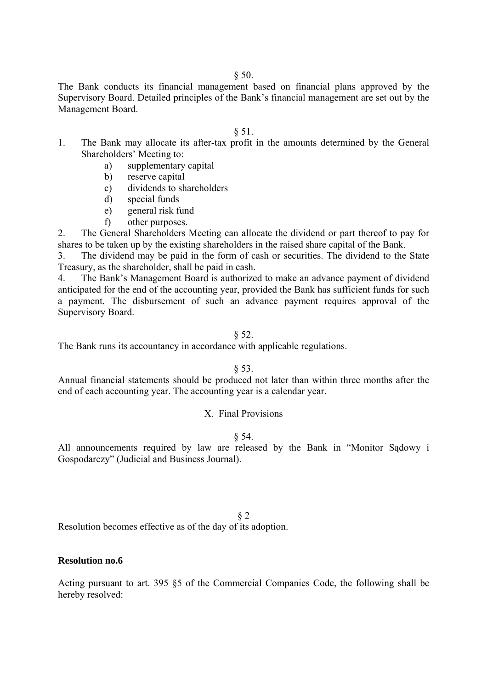$§ 50.$ 

The Bank conducts its financial management based on financial plans approved by the Supervisory Board. Detailed principles of the Bank's financial management are set out by the Management Board.

### $§ 51.$

- 1. The Bank may allocate its after-tax profit in the amounts determined by the General Shareholders' Meeting to:
	- a) supplementary capital
	- b) reserve capital
	- c) dividends to shareholders
	- d) special funds
	- e) general risk fund
	- f) other purposes.

2. The General Shareholders Meeting can allocate the dividend or part thereof to pay for shares to be taken up by the existing shareholders in the raised share capital of the Bank.

3. The dividend may be paid in the form of cash or securities. The dividend to the State Treasury, as the shareholder, shall be paid in cash.

4. The Bank's Management Board is authorized to make an advance payment of dividend anticipated for the end of the accounting year, provided the Bank has sufficient funds for such a payment. The disbursement of such an advance payment requires approval of the Supervisory Board.

#### § 52.

The Bank runs its accountancy in accordance with applicable regulations.

#### § 53.

Annual financial statements should be produced not later than within three months after the end of each accounting year. The accounting year is a calendar year.

#### X. Final Provisions

§ 54.

All announcements required by law are released by the Bank in "Monitor Sądowy i Gospodarczy" (Judicial and Business Journal).

#### § 2

Resolution becomes effective as of the day of its adoption.

#### **Resolution no.6**

Acting pursuant to art. 395 §5 of the Commercial Companies Code, the following shall be hereby resolved: